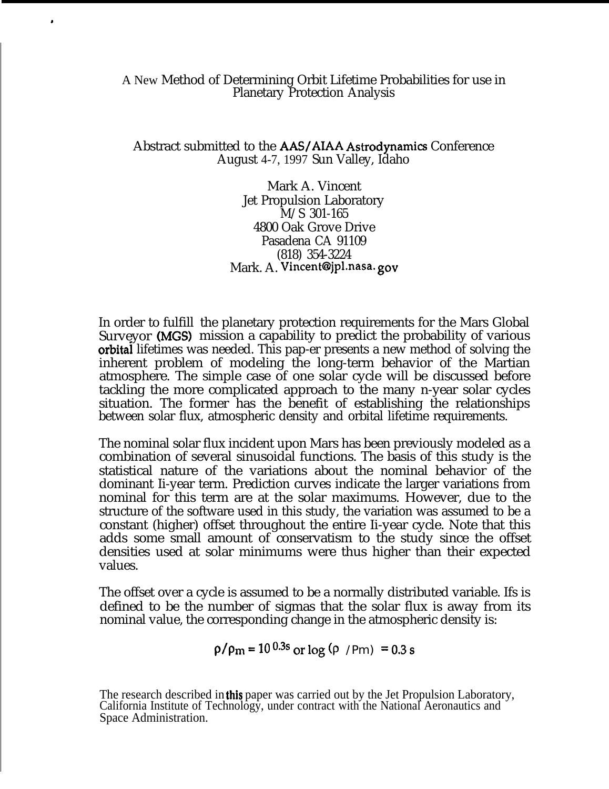## A New Method of Determining Orbit Lifetime Probabilities for use in Planetary Protection Analysis

#

Abstract submitted to the AAS/AIAA Astrodynamics Conference August 4-7, 1997 Sun Valley, Idaho

> Mark A. Vincent Jet Propulsion Laboratory M/S 301-165 4800 Oak Grove Drive Pasadena CA 91109 (818) 354-3224 Mark. A. Vincent@jpl.nasa. gov

In order to fulfill the planetary protection requirements for the Mars Global Surveyor (MGS) mission a capability to predict the probability of various **orbital** lifetimes was needed. This pap-er presents a new method of solving the inherent problem of modeling the long-term behavior of the Martian atmosphere. The simple case of one solar cycle will be discussed before tackling the more complicated approach to the many n-year solar cycles situation. The former has the benefit of establishing the relationships between solar flux, atmospheric density and orbital lifetime requirements.

The nominal solar flux incident upon Mars has been previously modeled as a combination of several sinusoidal functions. The basis of this study is the statistical nature of the variations about the nominal behavior of the dominant Ii-year term. Prediction curves indicate the larger variations from nominal for this term are at the solar maximums. However, due to the structure of the software used in this study, the variation was assumed to be a constant (higher) offset throughout the entire Ii-year cycle. Note that this adds some small amount of conservatism to the study since the offset densities used at solar minimums were thus higher than their expected values.

The offset over a cycle is assumed to be a normally distributed variable. Ifs is defined to be the number of sigmas that the solar flux is away from its nominal value, the corresponding change in the atmospheric density is:

 $p/\rho_m = 10^{0.3s}$  or  $log (p / Pm) = 0.3 s$ 

The research described in this paper was carried out by the Jet Propulsion Laboratory, California Institute of Technology, under contract with the National Aeronautics and Space Administration.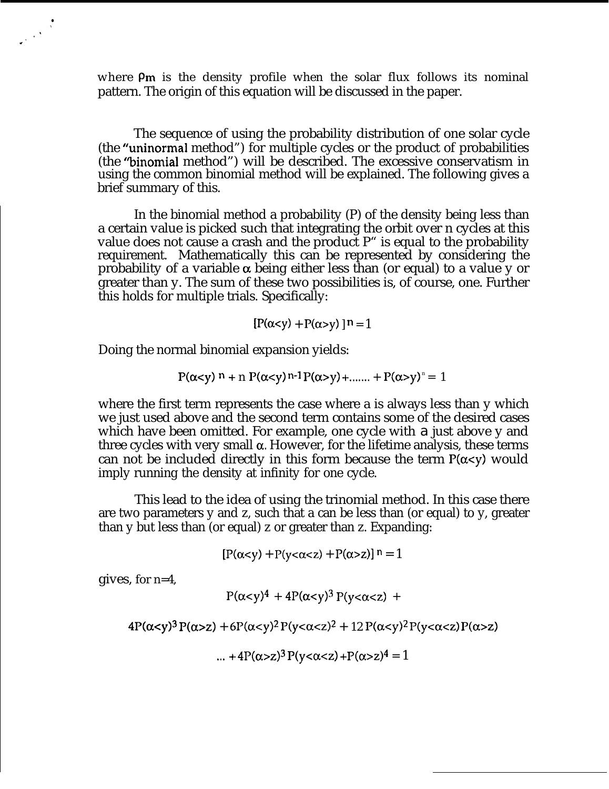where Pm is the density profile when the solar flux follows its nominal pattern. The origin of this equation will be discussed in the paper.

The sequence of using the probability distribution of one solar cycle (the "uninormal method") for multiple cycles or the product of probabilities (the *"binomial* method") will be described. The excessive conservatism in using the common binomial method will be explained. The following gives a brief summary of this.

In the binomial method a probability (P) of the density being less than a certain value is picked such that integrating the orbit over n cycles at this value does not cause a crash and the product  $P^*$  is equal to the probability requirement. Mathematically this can be represented by considering the probability of a variable  $\alpha$  being either less than (or equal) to a value y or greater than y. The sum of these two possibilities is, of course, one. Further this holds for multiple trials. Specifically:

$$
[P(\alphay)] n = 1
$$

Doing the normal binomial expansion yields:

$$
P(\alpha < y) n + n P(\alpha < y) n-1 P(\alpha > y) + \dots + P(\alpha > y)^n = 1
$$

where the first term represents the case where a is always less than y which we just used above and the second term contains some of the desired cases which have been omitted. For example, one cycle with *a* just above y and three cycles with very small  $\alpha$ . However, for the lifetime analysis, these terms can not be included directly in this form because the term  $P(\alpha < y)$  would imply running the density at infinity for one cycle.

This lead to the idea of using the trinomial method. In this case there are two parameters y and z, such that a can be less than (or equal) to y, greater than y but less than (or equal) z or greater than z. Expanding:

$$
\left[P(\alpha{<}y)+P(y{<}\alpha{<}z)+P(\alpha{>}z)\right]{}^{n}=1
$$

gives, for n=4,

● ✎ ,' -'

$$
P(\alpha < y)^4 + 4P(\alpha < y)^3 P(y < \alpha < z) +
$$

$$
4P(\alpha < y)^3 P(\alpha > z) + 6P(\alpha < y)^2 P(y < \alpha < z)^2 + 12 P(\alpha < y)^2 P(y < \alpha < z) P(\alpha > z)
$$

... +  $4P(\alpha > z)^3 P(y < \alpha < z) + P(\alpha > z)^4 = 1$